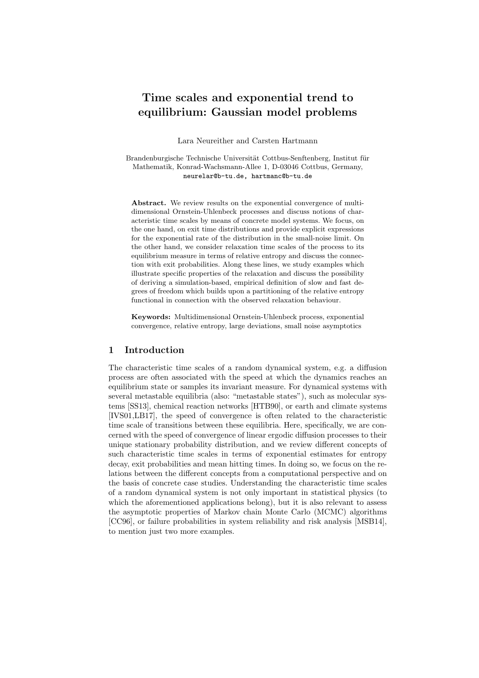# Time scales and exponential trend to equilibrium: Gaussian model problems

Lara Neureither and Carsten Hartmann

Brandenburgische Technische Universität Cottbus-Senftenberg, Institut für Mathematik, Konrad-Wachsmann-Allee 1, D-03046 Cottbus, Germany, neurelar@b-tu.de, hartmanc@b-tu.de

Abstract. We review results on the exponential convergence of multidimensional Ornstein-Uhlenbeck processes and discuss notions of characteristic time scales by means of concrete model systems. We focus, on the one hand, on exit time distributions and provide explicit expressions for the exponential rate of the distribution in the small-noise limit. On the other hand, we consider relaxation time scales of the process to its equilibrium measure in terms of relative entropy and discuss the connection with exit probabilities. Along these lines, we study examples which illustrate specific properties of the relaxation and discuss the possibility of deriving a simulation-based, empirical definition of slow and fast degrees of freedom which builds upon a partitioning of the relative entropy functional in connection with the observed relaxation behaviour.

Keywords: Multidimensional Ornstein-Uhlenbeck process, exponential convergence, relative entropy, large deviations, small noise asymptotics

# 1 Introduction

The characteristic time scales of a random dynamical system, e.g. a diffusion process are often associated with the speed at which the dynamics reaches an equilibrium state or samples its invariant measure. For dynamical systems with several metastable equilibria (also: "metastable states"), such as molecular systems [SS13], chemical reaction networks [HTB90], or earth and climate systems [IVS01,LB17], the speed of convergence is often related to the characteristic time scale of transitions between these equilibria. Here, specifically, we are concerned with the speed of convergence of linear ergodic diffusion processes to their unique stationary probability distribution, and we review different concepts of such characteristic time scales in terms of exponential estimates for entropy decay, exit probabilities and mean hitting times. In doing so, we focus on the relations between the different concepts from a computational perspective and on the basis of concrete case studies. Understanding the characteristic time scales of a random dynamical system is not only important in statistical physics (to which the aforementioned applications belong), but it is also relevant to assess the asymptotic properties of Markov chain Monte Carlo (MCMC) algorithms [CC96], or failure probabilities in system reliability and risk analysis [MSB14], to mention just two more examples.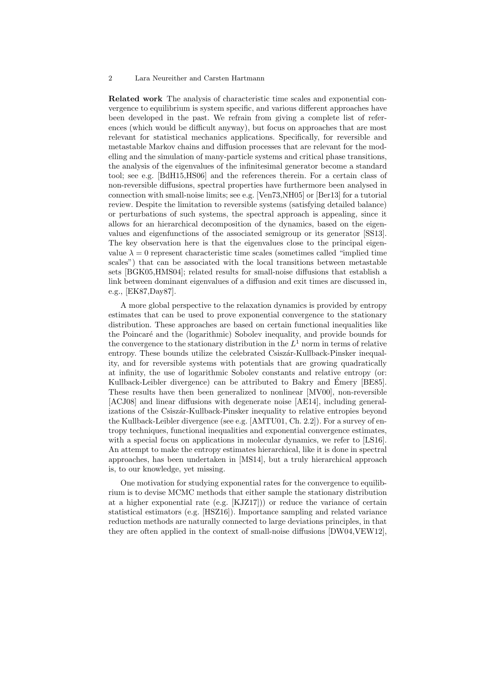Related work The analysis of characteristic time scales and exponential convergence to equilibrium is system specific, and various different approaches have been developed in the past. We refrain from giving a complete list of references (which would be difficult anyway), but focus on approaches that are most relevant for statistical mechanics applications. Specifically, for reversible and metastable Markov chains and diffusion processes that are relevant for the modelling and the simulation of many-particle systems and critical phase transitions, the analysis of the eigenvalues of the infinitesimal generator become a standard tool; see e.g. [BdH15,HS06] and the references therein. For a certain class of non-reversible diffusions, spectral properties have furthermore been analysed in connection with small-noise limits; see e.g. [Ven73,NH05] or [Ber13] for a tutorial review. Despite the limitation to reversible systems (satisfying detailed balance) or perturbations of such systems, the spectral approach is appealing, since it allows for an hierarchical decomposition of the dynamics, based on the eigenvalues and eigenfunctions of the associated semigroup or its generator [SS13]. The key observation here is that the eigenvalues close to the principal eigenvalue  $\lambda = 0$  represent characteristic time scales (sometimes called "implied time scales") that can be associated with the local transitions between metastable sets [BGK05,HMS04]; related results for small-noise diffusions that establish a link between dominant eigenvalues of a diffusion and exit times are discussed in, e.g., [EK87,Day87].

A more global perspective to the relaxation dynamics is provided by entropy estimates that can be used to prove exponential convergence to the stationary distribution. These approaches are based on certain functional inequalities like the Poincar´e and the (logarithmic) Sobolev inequality, and provide bounds for the convergence to the stationary distribution in the  $L^1$  norm in terms of relative entropy. These bounds utilize the celebrated Csiszár-Kullback-Pinsker inequality, and for reversible systems with potentials that are growing quadratically at infinity, the use of logarithmic Sobolev constants and relative entropy (or: Kullback-Leibler divergence) can be attributed to Bakry and Émery [BE85]. These results have then been generalized to nonlinear [MV00], non-reversible [ACJ08] and linear diffusions with degenerate noise [AE14], including generalizations of the Csiszár-Kullback-Pinsker inequality to relative entropies beyond the Kullback-Leibler divergence (see e.g. [AMTU01, Ch. 2.2]). For a survey of entropy techniques, functional inequalities and exponential convergence estimates, with a special focus on applications in molecular dynamics, we refer to [LS16]. An attempt to make the entropy estimates hierarchical, like it is done in spectral approaches, has been undertaken in [MS14], but a truly hierarchical approach is, to our knowledge, yet missing.

One motivation for studying exponential rates for the convergence to equilibrium is to devise MCMC methods that either sample the stationary distribution at a higher exponential rate (e.g. [KJZ17])) or reduce the variance of certain statistical estimators (e.g. [HSZ16]). Importance sampling and related variance reduction methods are naturally connected to large deviations principles, in that they are often applied in the context of small-noise diffusions [DW04,VEW12],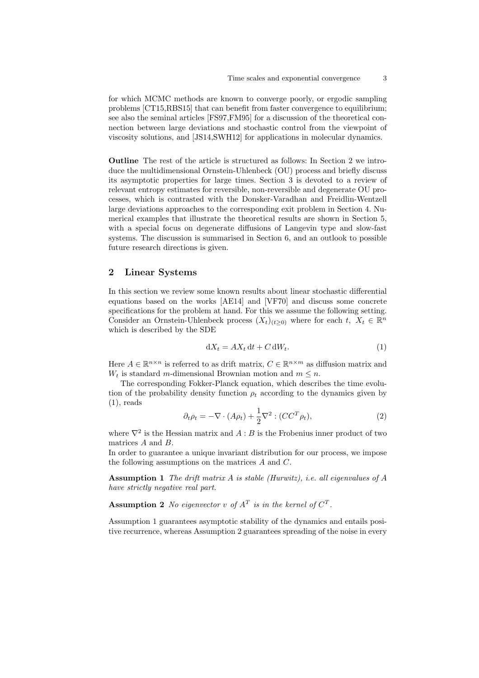for which MCMC methods are known to converge poorly, or ergodic sampling problems [CT15,RBS15] that can benefit from faster convergence to equilibrium; see also the seminal articles [FS97,FM95] for a discussion of the theoretical connection between large deviations and stochastic control from the viewpoint of viscosity solutions, and [JS14,SWH12] for applications in molecular dynamics.

Outline The rest of the article is structured as follows: In Section 2 we introduce the multidimensional Ornstein-Uhlenbeck (OU) process and briefly discuss its asymptotic properties for large times. Section 3 is devoted to a review of relevant entropy estimates for reversible, non-reversible and degenerate OU processes, which is contrasted with the Donsker-Varadhan and Freidlin-Wentzell large deviations approaches to the corresponding exit problem in Section 4. Numerical examples that illustrate the theoretical results are shown in Section 5, with a special focus on degenerate diffusions of Langevin type and slow-fast systems. The discussion is summarised in Section 6, and an outlook to possible future research directions is given.

# 2 Linear Systems

In this section we review some known results about linear stochastic differential equations based on the works [AE14] and [VF70] and discuss some concrete specifications for the problem at hand. For this we assume the following setting. Consider an Ornstein-Uhlenbeck process  $(X_t)_{(t\geq0)}$  where for each  $t, X_t \in \mathbb{R}^n$ which is described by the SDE

$$
dX_t = AX_t dt + C dW_t.
$$
\n(1)

Here  $A \in \mathbb{R}^{n \times n}$  is referred to as drift matrix,  $C \in \mathbb{R}^{n \times m}$  as diffusion matrix and  $W_t$  is standard m-dimensional Brownian motion and  $m \leq n$ .

The corresponding Fokker-Planck equation, which describes the time evolution of the probability density function  $\rho_t$  according to the dynamics given by  $(1)$ , reads

$$
\partial_t \rho_t = -\nabla \cdot (A\rho_t) + \frac{1}{2} \nabla^2 : (CC^T \rho_t), \tag{2}
$$

where  $\nabla^2$  is the Hessian matrix and  $A : B$  is the Frobenius inner product of two matrices A and B.

In order to guarantee a unique invariant distribution for our process, we impose the following assumptions on the matrices A and C.

**Assumption 1** The drift matrix  $A$  is stable (Hurwitz), i.e. all eigenvalues of  $A$ have strictly negative real part.

**Assumption 2** No eigenvector v of  $A<sup>T</sup>$  is in the kernel of  $C<sup>T</sup>$ .

Assumption 1 guarantees asymptotic stability of the dynamics and entails positive recurrence, whereas Assumption 2 guarantees spreading of the noise in every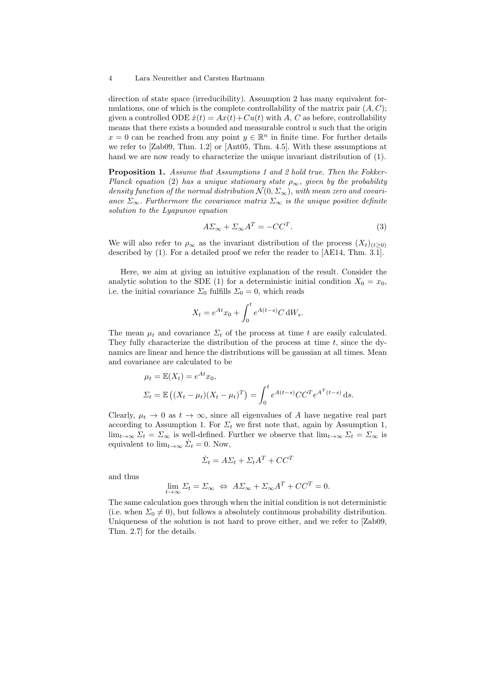direction of state space (irreducibility). Assumption 2 has many equivalent formulations, one of which is the complete controllability of the matrix pair  $(A, C)$ ; given a controlled ODE  $\dot{x}(t) = Ax(t) + Cu(t)$  with A, C as before, controllability means that there exists a bounded and measurable control  $u$  such that the origin  $x = 0$  can be reached from any point  $y \in \mathbb{R}^n$  in finite time. For further details we refer to [Zab09, Thm. 1.2] or [Ant05, Thm. 4.5]. With these assumptions at hand we are now ready to characterize the unique invariant distribution of (1).

Proposition 1. Assume that Assumptions 1 and 2 hold true. Then the Fokker-Planck equation (2) has a unique stationary state  $\rho_{\infty}$ , given by the probability density function of the normal distribution  $\mathcal{N}(0, \Sigma_{\infty})$ , with mean zero and covariance  $\Sigma_{\infty}$ . Furthermore the covariance matrix  $\Sigma_{\infty}$  is the unique positive definite solution to the Lyapunov equation

$$
A\Sigma_{\infty} + \Sigma_{\infty}A^T = -CC^T.
$$
 (3)

We will also refer to  $\rho_{\infty}$  as the invariant distribution of the process  $(X_t)_{(t>0)}$ described by (1). For a detailed proof we refer the reader to [AE14, Thm. 3.1].

Here, we aim at giving an intuitive explanation of the result. Consider the analytic solution to the SDE (1) for a deterministic initial condition  $X_0 = x_0$ , i.e. the initial covariance  $\Sigma_0$  fulfills  $\Sigma_0 = 0$ , which reads

$$
X_t = e^{At}x_0 + \int_0^t e^{A(t-s)} C dW_s.
$$

The mean  $\mu_t$  and covariance  $\Sigma_t$  of the process at time t are easily calculated. They fully characterize the distribution of the process at time  $t$ , since the dynamics are linear and hence the distributions will be gaussian at all times. Mean and covariance are calculated to be

$$
\mu_t = \mathbb{E}(X_t) = e^{At} x_0,
$$
  

$$
\Sigma_t = \mathbb{E}((X_t - \mu_t)(X_t - \mu_t)^T) = \int_0^t e^{A(t-s)} C C^T e^{A^T(t-s)} ds.
$$

Clearly,  $\mu_t \to 0$  as  $t \to \infty$ , since all eigenvalues of A have negative real part according to Assumption 1. For  $\Sigma_t$  we first note that, again by Assumption 1,  $\lim_{t\to\infty}\Sigma_t = \Sigma_\infty$  is well-defined. Further we observe that  $\lim_{t\to\infty}\Sigma_t = \Sigma_\infty$  is equivalent to  $\lim_{t\to\infty} \dot{\Sigma}_t = 0$ . Now,

$$
\dot{\Sigma}_t = A\Sigma_t + \Sigma_t A^T + CC^T
$$

and thus

$$
\lim_{t \to \infty} \Sigma_t = \Sigma_{\infty} \iff A\Sigma_{\infty} + \Sigma_{\infty}A^T + CC^T = 0.
$$

The same calculation goes through when the initial condition is not deterministic (i.e. when  $\Sigma_0 \neq 0$ ), but follows a absolutely continuous probability distribution. Uniqueness of the solution is not hard to prove either, and we refer to [Zab09, Thm. 2.7] for the details.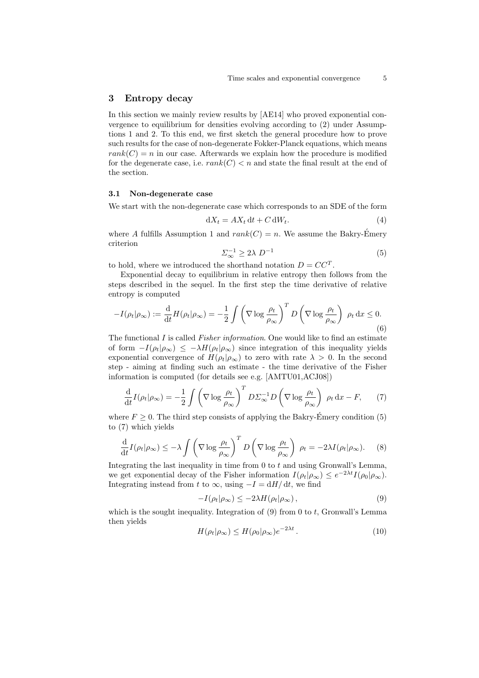# 3 Entropy decay

In this section we mainly review results by [AE14] who proved exponential convergence to equilibrium for densities evolving according to (2) under Assumptions 1 and 2. To this end, we first sketch the general procedure how to prove such results for the case of non-degenerate Fokker-Planck equations, which means  $rank(C) = n$  in our case. Afterwards we explain how the procedure is modified for the degenerate case, i.e.  $rank(C) < n$  and state the final result at the end of the section.

#### 3.1 Non-degenerate case

We start with the non-degenerate case which corresponds to an SDE of the form

$$
dX_t = AX_t dt + C dW_t.
$$
\n(4)

where A fulfills Assumption 1 and  $rank(C) = n$ . We assume the Bakry-Emery criterion

$$
\Sigma_{\infty}^{-1} \ge 2\lambda \ D^{-1} \tag{5}
$$

to hold, where we introduced the shorthand notation  $D = CC^T$ .

Exponential decay to equilibrium in relative entropy then follows from the steps described in the sequel. In the first step the time derivative of relative entropy is computed

$$
-I(\rho_t|\rho_\infty) := \frac{\mathrm{d}}{\mathrm{d}t} H(\rho_t|\rho_\infty) = -\frac{1}{2} \int \left(\nabla \log \frac{\rho_t}{\rho_\infty}\right)^T D\left(\nabla \log \frac{\rho_t}{\rho_\infty}\right) \rho_t \,\mathrm{d}x \le 0. \tag{6}
$$

The functional  $I$  is called *Fisher information*. One would like to find an estimate of form  $-I(\rho_t|\rho_\infty) \leq -\lambda H(\rho_t|\rho_\infty)$  since integration of this inequality yields exponential convergence of  $H(\rho_t|\rho_\infty)$  to zero with rate  $\lambda > 0$ . In the second step - aiming at finding such an estimate - the time derivative of the Fisher information is computed (for details see e.g. [AMTU01,ACJ08])

$$
\frac{\mathrm{d}}{\mathrm{d}t}I(\rho_t|\rho_\infty) = -\frac{1}{2} \int \left(\nabla \log \frac{\rho_t}{\rho_\infty}\right)^T D\Sigma_\infty^{-1} D\left(\nabla \log \frac{\rho_t}{\rho_\infty}\right) \rho_t \,\mathrm{d}x - F,\qquad(7)
$$

where  $F \geq 0$ . The third step consists of applying the Bakry-Emery condition (5) to (7) which yields

$$
\frac{\mathrm{d}}{\mathrm{d}t}I(\rho_t|\rho_\infty)\leq -\lambda \int \left(\nabla \log \frac{\rho_t}{\rho_\infty}\right)^T D\left(\nabla \log \frac{\rho_t}{\rho_\infty}\right) \rho_t = -2\lambda I(\rho_t|\rho_\infty). \tag{8}
$$

Integrating the last inequality in time from 0 to t and using Gronwall's Lemma, we get exponential decay of the Fisher information  $I(\rho_t|\rho_\infty) \leq e^{-2\lambda t} I(\rho_0|\rho_\infty)$ . Integrating instead from t to  $\infty$ , using  $-I = dH/dt$ , we find

$$
-I(\rho_t|\rho_\infty) \le -2\lambda H(\rho_t|\rho_\infty),\tag{9}
$$

which is the sought inequality. Integration of  $(9)$  from 0 to t, Gronwall's Lemma then yields

$$
H(\rho_t|\rho_\infty) \le H(\rho_0|\rho_\infty)e^{-2\lambda t}.
$$
\n(10)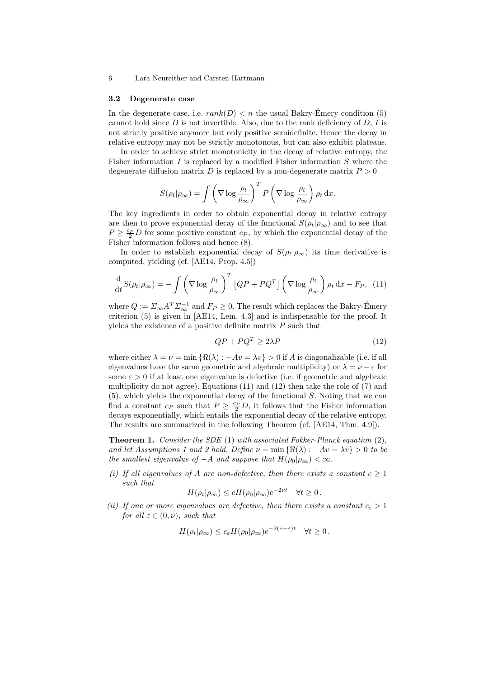#### 3.2 Degenerate case

In the degenerate case, i.e.  $rank(D) < n$  the usual Bakry-Emery condition (5) cannot hold since  $D$  is not invertible. Also, due to the rank deficiency of  $D, I$  is not strictly positive anymore but only positive semidefinite. Hence the decay in relative entropy may not be strictly monotonous, but can also exhibit plateaus.

In order to achieve strict monotonicity in the decay of relative entropy, the Fisher information  $I$  is replaced by a modified Fisher information  $S$  where the degenerate diffusion matrix D is replaced by a non-degenerate matrix  $P > 0$ 

$$
S(\rho_t|\rho_{\infty}) = \int \left(\nabla \log \frac{\rho_t}{\rho_{\infty}}\right)^T P\left(\nabla \log \frac{\rho_t}{\rho_{\infty}}\right) \rho_t \, \mathrm{d}x.
$$

The key ingredients in order to obtain exponential decay in relative entropy are then to prove exponential decay of the functional  $S(\rho_t|\rho_\infty)$  and to see that  $P \geq \frac{c_P}{2}D$  for some positive constant  $c_P$ , by which the exponential decay of the Fisher information follows and hence (8).

In order to establish exponential decay of  $S(\rho_t|\rho_\infty)$  its time derivative is computed, yielding (cf. [AE14, Prop. 4.5])

$$
\frac{\mathrm{d}}{\mathrm{d}t}S(\rho_t|\rho_\infty) = -\int \left(\nabla \log \frac{\rho_t}{\rho_\infty}\right)^T \left[QP + PQ^T\right] \left(\nabla \log \frac{\rho_t}{\rho_\infty}\right) \rho_t \,\mathrm{d}x - F_P,\tag{11}
$$

where  $Q := \sum_{\infty} A^T \Sigma_{\infty}^{-1}$  and  $F_P \geq 0$ . The result which replaces the Bakry-Emery criterion (5) is given in [AE14, Lem. 4.3] and is indispensable for the proof. It yields the existence of a positive definite matrix  $P$  such that

$$
QP + PQ^T \ge 2\lambda P \tag{12}
$$

where either  $\lambda = \nu = \min \{ \Re(\lambda) : -Av = \lambda v \} > 0$  if A is diagonalizable (i.e. if all eigenvalues have the same geometric and algebraic multiplicity) or  $\lambda = \nu - \varepsilon$  for some  $\varepsilon > 0$  if at least one eigenvalue is defective (i.e. if geometric and algebraic multiplicity do not agree). Equations  $(11)$  and  $(12)$  then take the role of  $(7)$  and  $(5)$ , which yields the exponential decay of the functional S. Noting that we can find a constant  $c_P$  such that  $P \geq \frac{c_P}{2}D$ , it follows that the Fisher information decays exponentially, which entails the exponential decay of the relative entropy. The results are summarized in the following Theorem (cf. [AE14, Thm. 4.9]).

**Theorem 1.** Consider the SDE (1) with associated Fokker-Planck equation  $(2)$ , and let Assumptions 1 and 2 hold. Define  $\nu = \min \{ \Re(\lambda) : -Av = \lambda v \} > 0$  to be the smallest eigenvalue of  $-A$  and suppose that  $H(\rho_0|\rho_\infty)<\infty$ .

(i) If all eigenvalues of A are non-defective, then there exists a constant  $c \geq 1$ such that

$$
H(\rho_t|\rho_\infty) \le cH(\rho_0|\rho_\infty)e^{-2\nu t} \quad \forall t \ge 0.
$$

(ii) If one or more eigenvalues are defective, then there exists a constant  $c_{\varepsilon} > 1$ for all  $\varepsilon \in (0, \nu)$ , such that

$$
H(\rho_t|\rho_\infty) \le c_\varepsilon H(\rho_0|\rho_\infty)e^{-2(\nu-\varepsilon)t} \quad \forall t \ge 0.
$$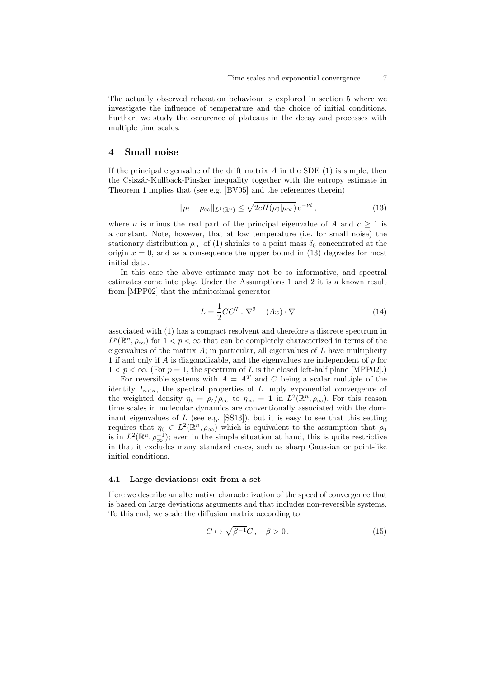The actually observed relaxation behaviour is explored in section 5 where we investigate the influence of temperature and the choice of initial conditions. Further, we study the occurence of plateaus in the decay and processes with multiple time scales.

# 4 Small noise

If the principal eigenvalue of the drift matrix  $A$  in the SDE  $(1)$  is simple, then the Csiszár-Kullback-Pinsker inequality together with the entropy estimate in Theorem 1 implies that (see e.g. [BV05] and the references therein)

$$
\|\rho_t - \rho_\infty\|_{L^1(\mathbb{R}^n)} \le \sqrt{2cH(\rho_0|\rho_\infty)}\,e^{-\nu t}\,,\tag{13}
$$

where  $\nu$  is minus the real part of the principal eigenvalue of A and  $c \geq 1$  is a constant. Note, however, that at low temperature (i.e. for small noise) the stationary distribution  $\rho_{\infty}$  of (1) shrinks to a point mass  $\delta_0$  concentrated at the origin  $x = 0$ , and as a consequence the upper bound in (13) degrades for most initial data.

In this case the above estimate may not be so informative, and spectral estimates come into play. Under the Assumptions 1 and 2 it is a known result from [MPP02] that the infinitesimal generator

$$
L = \frac{1}{2}CC^{T} : \nabla^{2} + (Ax) \cdot \nabla \tag{14}
$$

associated with (1) has a compact resolvent and therefore a discrete spectrum in  $L^p(\mathbb{R}^n, \rho_\infty)$  for  $1 < p < \infty$  that can be completely characterized in terms of the eigenvalues of the matrix  $A$ ; in particular, all eigenvalues of  $L$  have multiplicity 1 if and only if  $A$  is diagonalizable, and the eigenvalues are independent of  $p$  for  $1 < p < \infty$ . (For  $p = 1$ , the spectrum of L is the closed left-half plane [MPP02].)

For reversible systems with  $A = A^T$  and C being a scalar multiple of the identity  $I_{n\times n}$ , the spectral properties of L imply exponential convergence of the weighted density  $\eta_t = \rho_t/\rho_\infty$  to  $\eta_\infty = 1$  in  $L^2(\mathbb{R}^n, \rho_\infty)$ . For this reason time scales in molecular dynamics are conventionally associated with the dominant eigenvalues of  $L$  (see e.g.  $[SS13]$ ), but it is easy to see that this setting requires that  $\eta_0 \in L^2(\mathbb{R}^n, \rho_\infty)$  which is equivalent to the assumption that  $\rho_0$ is in  $L^2(\mathbb{R}^n, \rho_{\infty}^{-1})$ ; even in the simple situation at hand, this is quite restrictive in that it excludes many standard cases, such as sharp Gaussian or point-like initial conditions.

### 4.1 Large deviations: exit from a set

Here we describe an alternative characterization of the speed of convergence that is based on large deviations arguments and that includes non-reversible systems. To this end, we scale the diffusion matrix according to

$$
C \mapsto \sqrt{\beta^{-1}}C, \quad \beta > 0. \tag{15}
$$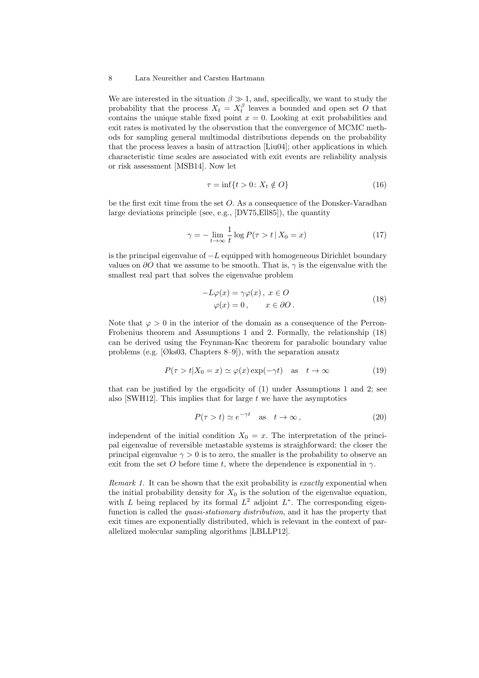We are interested in the situation  $\beta \gg 1$ , and, specifically, we want to study the probability that the process  $X_t = X_t^{\beta}$  leaves a bounded and open set O that contains the unique stable fixed point  $x = 0$ . Looking at exit probabilities and exit rates is motivated by the observation that the convergence of MCMC methods for sampling general multimodal distributions depends on the probability that the process leaves a basin of attraction [Liu04]; other applications in which characteristic time scales are associated with exit events are reliability analysis or risk assessment [MSB14]. Now let

$$
\tau = \inf\{t > 0 \colon X_t \notin O\} \tag{16}
$$

be the first exit time from the set O. As a consequence of the Donsker-Varadhan large deviations principle (see, e.g., [DV75,Ell85]), the quantity

$$
\gamma = -\lim_{t \to \infty} \frac{1}{t} \log P(\tau > t \, | \, X_0 = x) \tag{17}
$$

is the principal eigenvalue of  $-L$  equipped with homogeneous Dirichlet boundary values on  $\partial O$  that we assume to be smooth. That is,  $\gamma$  is the eigenvalue with the smallest real part that solves the eigenvalue problem

$$
-L\varphi(x) = \gamma\varphi(x), \ x \in O
$$
  

$$
\varphi(x) = 0, \qquad x \in \partial O.
$$
 (18)

Note that  $\varphi > 0$  in the interior of the domain as a consequence of the Perron-Frobenius theorem and Assumptions 1 and 2. Formally, the relationship (18) can be derived using the Feynman-Kac theorem for parabolic boundary value problems (e.g. [Øks03, Chapters 8–9]), with the separation ansatz

$$
P(\tau > t | X_0 = x) \simeq \varphi(x) \exp(-\gamma t) \quad \text{as} \quad t \to \infty \tag{19}
$$

that can be justified by the ergodicity of (1) under Assumptions 1 and 2; see also [SWH12]. This implies that for large  $t$  we have the asymptotics

$$
P(\tau > t) \simeq e^{-\gamma t} \quad \text{as} \quad t \to \infty \,, \tag{20}
$$

independent of the initial condition  $X_0 = x$ . The interpretation of the principal eigenvalue of reversible metastable systems is straighforward: the closer the principal eigenvalue  $\gamma > 0$  is to zero, the smaller is the probability to observe an exit from the set O before time t, where the dependence is exponential in  $\gamma$ .

Remark 1. It can be shown that the exit probability is exactly exponential when the initial probability density for  $X_0$  is the solution of the eigenvalue equation, with L being replaced by its formal  $L^2$  adjoint  $L^*$ . The corresponding eigenfunction is called the *quasi-stationary distribution*, and it has the property that exit times are exponentially distributed, which is relevant in the context of parallelized molecular sampling algorithms [LBLLP12].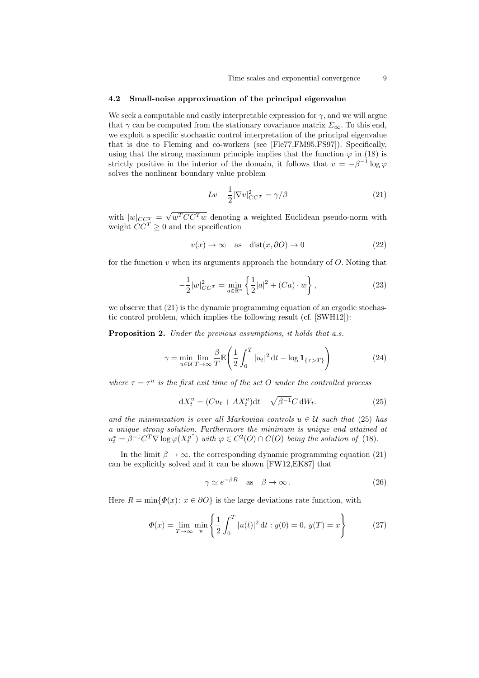#### 4.2 Small-noise approximation of the principal eigenvalue

We seek a computable and easily interpretable expression for  $\gamma$ , and we will argue that  $\gamma$  can be computed from the stationary covariance matrix  $\Sigma_{\infty}$ . To this end, we exploit a specific stochastic control interpretation of the principal eigenvalue that is due to Fleming and co-workers (see [Fle77,FM95,FS97]). Specifically, using that the strong maximum principle implies that the function  $\varphi$  in (18) is strictly positive in the interior of the domain, it follows that  $v = -\beta^{-1} \log \varphi$ solves the nonlinear boundary value problem

$$
Lv - \frac{1}{2} |\nabla v|_{CC^T}^2 = \gamma/\beta \tag{21}
$$

with  $|w|_{CC_T^T} = \sqrt{w^T C C^T w}$  denoting a weighted Euclidean pseudo-norm with weight  $CC^T \geq 0$  and the specification

$$
v(x) \to \infty \quad \text{as} \quad \text{dist}(x, \partial O) \to 0 \tag{22}
$$

for the function  $v$  when its arguments approach the boundary of  $O$ . Noting that

$$
-\frac{1}{2}|w|_{CC^T}^2 = \min_{a \in \mathbb{R}^n} \left\{ \frac{1}{2}|a|^2 + (Ca) \cdot w \right\},\tag{23}
$$

we observe that (21) is the dynamic programming equation of an ergodic stochastic control problem, which implies the following result (cf. [SWH12]):

Proposition 2. Under the previous assumptions, it holds that a.s.

$$
\gamma = \min_{u \in \mathcal{U}} \lim_{T \to \infty} \frac{\beta}{T} \mathbb{E} \left( \frac{1}{2} \int_0^T |u_t|^2 dt - \log \mathbf{1}_{\{\tau > T\}} \right) \tag{24}
$$

where  $\tau = \tau^u$  is the first exit time of the set O under the controlled process

$$
dX_t^u = (Cu_t + AX_t^u)dt + \sqrt{\beta^{-1}}C dW_t.
$$
\n(25)

and the minimization is over all Markovian controls  $u \in U$  such that (25) has a unique strong solution. Furthermore the minimum is unique and attained at  $u_t^* = \beta^{-1} C^T \nabla \log \varphi(X_t^{u^*})$  $u^u_t$  with  $\varphi \in C^2(O) \cap C(\overline{O})$  being the solution of (18).

In the limit  $\beta \to \infty$ , the corresponding dynamic programming equation (21) can be explicitly solved and it can be shown [FW12,EK87] that

$$
\gamma \simeq e^{-\beta R} \quad \text{as} \quad \beta \to \infty \,. \tag{26}
$$

Here  $R = \min{\{\Phi(x): x \in \partial O\}}$  is the large deviations rate function, with

$$
\Phi(x) = \lim_{T \to \infty} \min_{u} \left\{ \frac{1}{2} \int_0^T |u(t)|^2 dt : y(0) = 0, \, y(T) = x \right\} \tag{27}
$$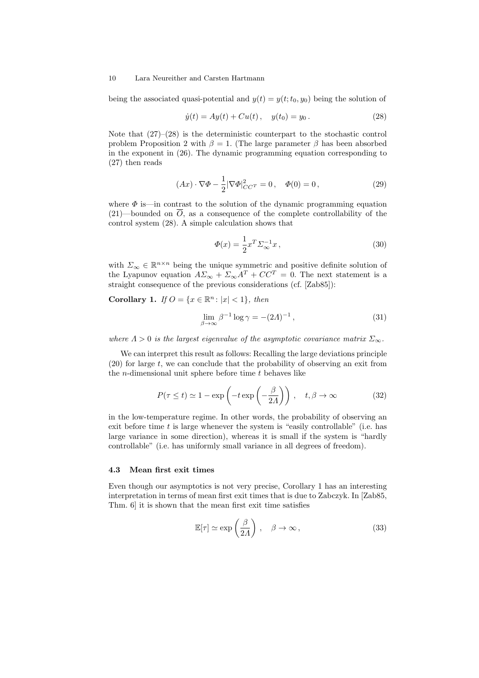being the associated quasi-potential and  $y(t) = y(t; t_0, y_0)$  being the solution of

$$
\dot{y}(t) = Ay(t) + Cu(t), \quad y(t_0) = y_0.
$$
\n(28)

Note that  $(27)$ – $(28)$  is the deterministic counterpart to the stochastic control problem Proposition 2 with  $\beta = 1$ . (The large parameter  $\beta$  has been absorbed in the exponent in (26). The dynamic programming equation corresponding to (27) then reads

$$
(Ax) \cdot \nabla \Phi - \frac{1}{2} |\nabla \Phi|_{CC^T}^2 = 0 \,, \quad \Phi(0) = 0 \,, \tag{29}
$$

where  $\Phi$  is—in contrast to the solution of the dynamic programming equation  $(21)$ —bounded on  $\overline{O}$ , as a consequence of the complete controllability of the control system (28). A simple calculation shows that

$$
\Phi(x) = \frac{1}{2}x^T \Sigma_{\infty}^{-1} x \,, \tag{30}
$$

with  $\Sigma_{\infty} \in \mathbb{R}^{n \times n}$  being the unique symmetric and positive definite solution of the Lyapunov equation  $A\Sigma_{\infty} + \Sigma_{\infty}A^{T} + CC^{T} = 0$ . The next statement is a straight consequence of the previous considerations (cf. [Zab85]):

Corollary 1. If  $O = \{x \in \mathbb{R}^n : |x| < 1\}$ , then

$$
\lim_{\beta \to \infty} \beta^{-1} \log \gamma = -(2\Lambda)^{-1},\tag{31}
$$

where  $\Lambda > 0$  is the largest eigenvalue of the asymptotic covariance matrix  $\Sigma_{\infty}$ .

We can interpret this result as follows: Recalling the large deviations principle (20) for large t, we can conclude that the probability of observing an exit from the *n*-dimensional unit sphere before time  $t$  behaves like

$$
P(\tau \le t) \simeq 1 - \exp\left(-t \exp\left(-\frac{\beta}{2A}\right)\right), \quad t, \beta \to \infty \tag{32}
$$

in the low-temperature regime. In other words, the probability of observing an exit before time  $t$  is large whenever the system is "easily controllable" (i.e. has large variance in some direction), whereas it is small if the system is "hardly controllable" (i.e. has uniformly small variance in all degrees of freedom).

# 4.3 Mean first exit times

Even though our asymptotics is not very precise, Corollary 1 has an interesting interpretation in terms of mean first exit times that is due to Zabczyk. In [Zab85, Thm. 6] it is shown that the mean first exit time satisfies

$$
\mathbb{E}[\tau] \simeq \exp\left(\frac{\beta}{2\Lambda}\right), \quad \beta \to \infty, \tag{33}
$$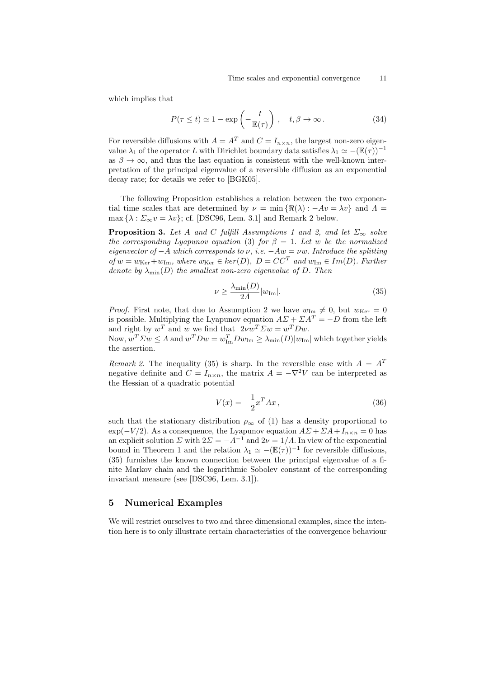which implies that

$$
P(\tau \le t) \simeq 1 - \exp\left(-\frac{t}{\mathbb{E}(\tau)}\right), \quad t, \beta \to \infty. \tag{34}
$$

For reversible diffusions with  $A = A<sup>T</sup>$  and  $C = I_{n \times n}$ , the largest non-zero eigenvalue  $\lambda_1$  of the operator L with Dirichlet boundary data satisfies  $\lambda_1 \simeq -(\mathbb{E}(\tau))^{-1}$ as  $\beta \to \infty$ , and thus the last equation is consistent with the well-known interpretation of the principal eigenvalue of a reversible diffusion as an exponential decay rate; for details we refer to [BGK05].

The following Proposition establishes a relation between the two exponential time scales that are determined by  $\nu = \min \{ \Re(\lambda) : -Av = \lambda v \}$  and  $\Lambda =$ max  $\{\lambda : \Sigma_{\infty} v = \lambda v\};$  cf. [DSC96, Lem. 3.1] and Remark 2 below.

**Proposition 3.** Let A and C fulfill Assumptions 1 and 2, and let  $\Sigma_{\infty}$  solve the corresponding Lyapunov equation (3) for  $\beta = 1$ . Let w be the normalized eigenvector of  $-A$  which corresponds to  $\nu$ , i.e.  $-Aw = \nu w$ . Introduce the splitting of  $w = w_{\text{Ker}} + w_{\text{Im}}$ , where  $w_{\text{Ker}} \in \text{ker}(D)$ ,  $D = CC^T$  and  $w_{\text{Im}} \in Im(D)$ . Further denote by  $\lambda_{\min}(D)$  the smallest non-zero eigenvalue of D. Then

$$
\nu \ge \frac{\lambda_{\min}(D)}{2\Lambda} |w_{\text{Im}}|.
$$
\n(35)

*Proof.* First note, that due to Assumption 2 we have  $w_{\text{Im}} \neq 0$ , but  $w_{\text{Ker}} = 0$ is possible. Multiplying the Lyapunov equation  $A\Sigma + \Sigma A^{T} = -D$  from the left and right by  $w^T$  and w we find that  $2\nu w^T \Sigma w = w^T D w$ .

Now,  $w^T \Sigma w \le \Lambda$  and  $w^T D w = w_{\text{Im}}^T D w_{\text{Im}} \ge \lambda_{\text{min}}(D)|w_{\text{Im}}|$  which together yields the assertion.

Remark 2. The inequality (35) is sharp. In the reversible case with  $A = A<sup>T</sup>$ negative definite and  $C = I_{n \times n}$ , the matrix  $A = -\nabla^2 V$  can be interpreted as the Hessian of a quadratic potential

$$
V(x) = -\frac{1}{2}x^T A x, \qquad (36)
$$

such that the stationary distribution  $\rho_{\infty}$  of (1) has a density proportional to  $\exp(-V/2)$ . As a consequence, the Lyapunov equation  $A\Sigma + \Sigma A + I_{n \times n} = 0$  has an explicit solution  $\Sigma$  with  $2\Sigma = -A^{-1}$  and  $2\nu = 1/\Lambda$ . In view of the exponential bound in Theorem 1 and the relation  $\lambda_1 \simeq -(\mathbb{E}(\tau))^{-1}$  for reversible diffusions, (35) furnishes the known connection between the principal eigenvalue of a finite Markov chain and the logarithmic Sobolev constant of the corresponding invariant measure (see [DSC96, Lem. 3.1]).

# 5 Numerical Examples

We will restrict ourselves to two and three dimensional examples, since the intention here is to only illustrate certain characteristics of the convergence behaviour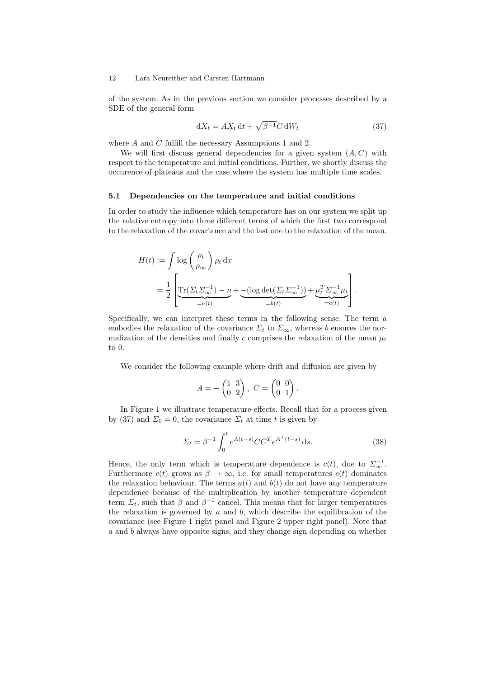of the system. As in the previous section we consider processes described by a SDE of the general form

$$
dX_t = AX_t dt + \sqrt{\beta^{-1}} C dW_t
$$
\n(37)

where  $A$  and  $C$  fulfill the necessary Assumptions 1 and 2.

We will first discuss general dependencies for a given system  $(A, C)$  with respect to the temperature and initial conditions. Further, we shortly discuss the occurence of plateaus and the case where the system has multiple time scales.

#### 5.1 Dependencies on the temperature and initial conditions

In order to study the influence which temperature has on our system we split up the relative entropy into three different terms of which the first two correspond to the relaxation of the covariance and the last one to the relaxation of the mean.

$$
H(t) := \int \log \left(\frac{\rho_t}{\rho_{\infty}}\right) \rho_t \, dx
$$
  
= 
$$
\frac{1}{2} \left[ \underbrace{\text{Tr}(\Sigma_t \Sigma_{\infty}^{-1}) - n}_{=a(t)} + \underbrace{-(\log \det(\Sigma_t \Sigma_{\infty}^{-1}))}_{=b(t)} + \underbrace{\mu_t^T \Sigma_{\infty}^{-1} \mu_t}_{=c(t)} \right].
$$

Specifically, we can interpret these terms in the following sense. The term  $a$ embodies the relaxation of the covariance  $\Sigma_t$  to  $\Sigma_{\infty}$ , whereas b ensures the normalization of the densities and finally c comprises the relaxation of the mean  $\mu_t$ to 0.

We consider the following example where drift and diffusion are given by

$$
A = -\begin{pmatrix} 1 & 3 \\ 0 & 2 \end{pmatrix}, \ C = \begin{pmatrix} 0 & 0 \\ 0 & 1 \end{pmatrix}.
$$

In Figure 1 we illustrate temperature-effects. Recall that for a process given by (37) and  $\Sigma_0 = 0$ , the covariance  $\Sigma_t$  at time t is given by

$$
\Sigma_t = \beta^{-1} \int_0^t e^{A(t-s)} C C^T e^{A^T(t-s)} ds.
$$
\n(38)

Hence, the only term which is temperature dependence is  $c(t)$ , due to  $\Sigma_{\infty}^{-1}$ . Furthermore  $c(t)$  grows as  $\beta \to \infty$ , i.e. for small temperatures  $c(t)$  dominates the relaxation behaviour. The terms  $a(t)$  and  $b(t)$  do not have any temperature dependence because of the multiplication by another temperature dependent term  $\Sigma_t$ , such that  $\beta$  and  $\beta^{-1}$  cancel. This means that for larger temperatures the relaxation is governed by  $a$  and  $b$ , which describe the equilibration of the covariance (see Figure 1 right panel and Figure 2 upper right panel). Note that a and b always have opposite signs, and they change sign depending on whether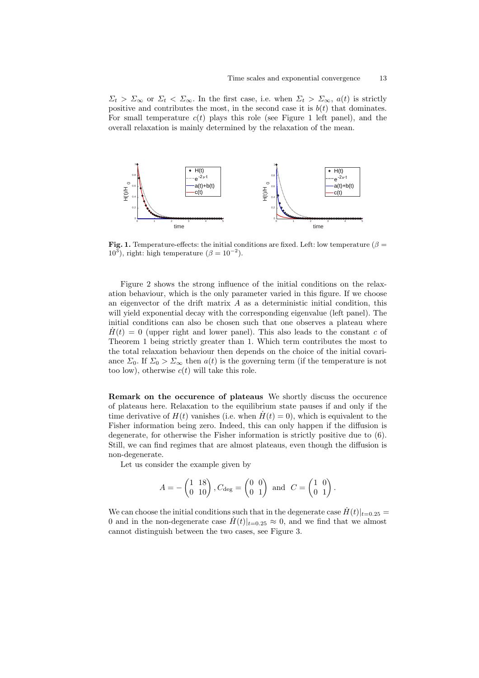$\Sigma_t > \Sigma_\infty$  or  $\Sigma_t < \Sigma_\infty$ . In the first case, i.e. when  $\Sigma_t > \Sigma_\infty$ ,  $a(t)$  is strictly positive and contributes the most, in the second case it is  $b(t)$  that dominates. For small temperature  $c(t)$  plays this role (see Figure 1 left panel), and the overall relaxation is mainly determined by the relaxation of the mean.



**Fig. 1.** Temperature-effects: the initial conditions are fixed. Left: low temperature ( $\beta$  =  $10^3$ ), right: high temperature  $(\beta = 10^{-2})$ .

Figure 2 shows the strong influence of the initial conditions on the relaxation behaviour, which is the only parameter varied in this figure. If we choose an eigenvector of the drift matrix  $A$  as a deterministic initial condition, this will yield exponential decay with the corresponding eigenvalue (left panel). The initial conditions can also be chosen such that one observes a plateau where  $H(t) = 0$  (upper right and lower panel). This also leads to the constant c of Theorem 1 being strictly greater than 1. Which term contributes the most to the total relaxation behaviour then depends on the choice of the initial covariance  $\Sigma_0$ . If  $\Sigma_0 > \Sigma_\infty$  then  $a(t)$  is the governing term (if the temperature is not too low), otherwise  $c(t)$  will take this role.

Remark on the occurence of plateaus We shortly discuss the occurence of plateaus here. Relaxation to the equilibrium state pauses if and only if the time derivative of  $H(t)$  vanishes (i.e. when  $H(t) = 0$ ), which is equivalent to the Fisher information being zero. Indeed, this can only happen if the diffusion is degenerate, for otherwise the Fisher information is strictly positive due to (6). Still, we can find regimes that are almost plateaus, even though the diffusion is non-degenerate.

Let us consider the example given by

$$
A = -\begin{pmatrix} 1 & 18 \\ 0 & 10 \end{pmatrix}, C_{\text{deg}} = \begin{pmatrix} 0 & 0 \\ 0 & 1 \end{pmatrix} \text{ and } C = \begin{pmatrix} 1 & 0 \\ 0 & 1 \end{pmatrix}.
$$

We can choose the initial conditions such that in the degenerate case  $H(t)|_{t=0.25} =$ 0 and in the non-degenerate case  $H(t)|_{t=0.25} \approx 0$ , and we find that we almost cannot distinguish between the two cases, see Figure 3.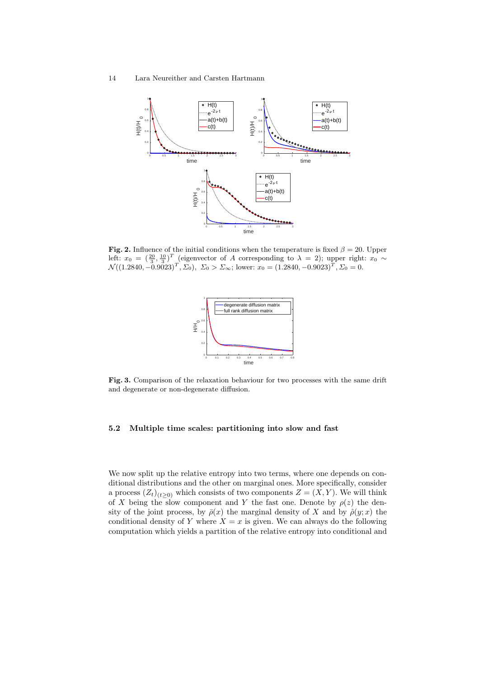

Fig. 2. Influence of the initial conditions when the temperature is fixed  $\beta = 20$ . Upper left:  $x_0 = \left(\frac{20}{3}, \frac{10}{3}\right)^T$  (eigenvector of A corresponding to  $\lambda = 2$ ); upper right:  $x_0 \sim$  $\mathcal{N}((1.2840, -0.9023)^T, \Sigma_0), \Sigma_0 > \Sigma_{\infty};$  lower:  $x_0 = (1.2840, -0.9023)^T, \Sigma_0 = 0.$ 



Fig. 3. Comparison of the relaxation behaviour for two processes with the same drift and degenerate or non-degenerate diffusion.

# 5.2 Multiple time scales: partitioning into slow and fast

We now split up the relative entropy into two terms, where one depends on conditional distributions and the other on marginal ones. More specifically, consider a process  $(Z_t)_{(t\geq0)}$  which consists of two components  $Z = (X, Y)$ . We will think of X being the slow component and Y the fast one. Denote by  $\rho(z)$  the density of the joint process, by  $\bar{\rho}(x)$  the marginal density of X and by  $\hat{\rho}(y; x)$  the conditional density of Y where  $X = x$  is given. We can always do the following computation which yields a partition of the relative entropy into conditional and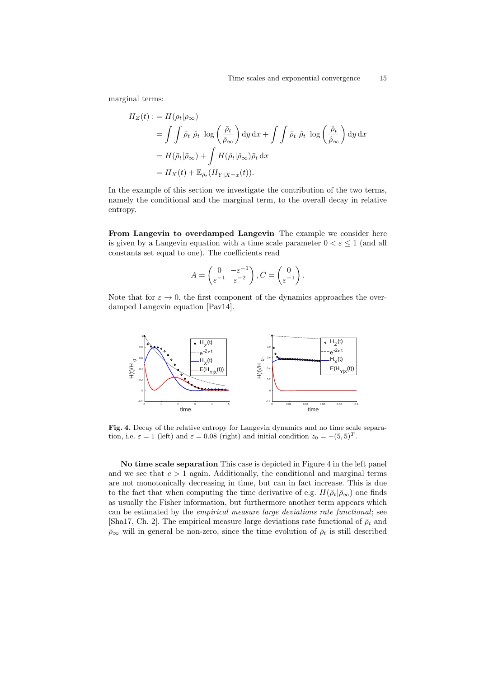marginal terms:

$$
H_Z(t) := H(\rho_t | \rho_\infty)
$$
  
=  $\int \int \bar{\rho}_t \hat{\rho}_t \log \left( \frac{\bar{\rho}_t}{\bar{\rho}_\infty} \right) dy dx + \int \int \bar{\rho}_t \hat{\rho}_t \log \left( \frac{\hat{\rho}_t}{\hat{\rho}_\infty} \right) dy dx$   
=  $H(\bar{\rho}_t | \bar{\rho}_\infty) + \int H(\hat{\rho}_t | \hat{\rho}_\infty) \bar{\rho}_t dx$   
=  $H_X(t) + \mathbb{E}_{\bar{\rho}_t} (H_{Y|X=x}(t)).$ 

In the example of this section we investigate the contribution of the two terms, namely the conditional and the marginal term, to the overall decay in relative entropy.

From Langevin to overdamped Langevin The example we consider here is given by a Langevin equation with a time scale parameter  $0 < \varepsilon \leq 1$  (and all constants set equal to one). The coefficients read

$$
A = \begin{pmatrix} 0 & -\varepsilon^{-1} \\ \varepsilon^{-1} & \varepsilon^{-2} \end{pmatrix}, C = \begin{pmatrix} 0 \\ \varepsilon^{-1} \end{pmatrix}.
$$

Note that for  $\varepsilon \to 0$ , the first component of the dynamics approaches the overdamped Langevin equation [Pav14].



Fig. 4. Decay of the relative entropy for Langevin dynamics and no time scale separation, i.e.  $\varepsilon = 1$  (left) and  $\varepsilon = 0.08$  (right) and initial condition  $z_0 = -(5, 5)^T$ .

No time scale separation This case is depicted in Figure 4 in the left panel and we see that  $c > 1$  again. Additionally, the conditional and marginal terms are not monotonically decreasing in time, but can in fact increase. This is due to the fact that when computing the time derivative of e.g.  $H(\bar{\rho}_t|\bar{\rho}_{\infty})$  one finds as usually the Fisher information, but furthermore another term appears which can be estimated by the empirical measure large deviations rate functional; see [Sha17, Ch. 2]. The empirical measure large deviations rate functional of  $\bar{\rho}_t$  and  $\bar{\rho}_{\infty}$  will in general be non-zero, since the time evolution of  $\bar{\rho}_t$  is still described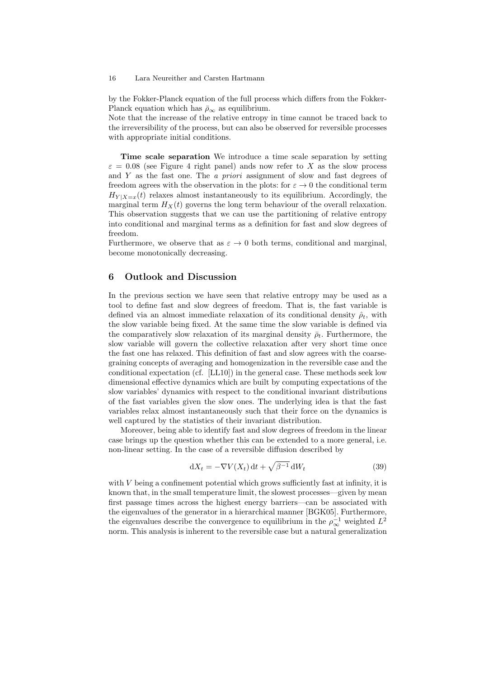by the Fokker-Planck equation of the full process which differs from the Fokker-Planck equation which has  $\bar{\rho}_{\infty}$  as equilibrium.

Note that the increase of the relative entropy in time cannot be traced back to the irreversibility of the process, but can also be observed for reversible processes with appropriate initial conditions.

Time scale separation We introduce a time scale separation by setting  $\varepsilon = 0.08$  (see Figure 4 right panel) ands now refer to X as the slow process and Y as the fast one. The *a priori* assignment of slow and fast degrees of freedom agrees with the observation in the plots: for  $\varepsilon \to 0$  the conditional term  $H_{Y|X=x}(t)$  relaxes almost instantaneously to its equilibrium. Accordingly, the marginal term  $H_X(t)$  governs the long term behaviour of the overall relaxation. This observation suggests that we can use the partitioning of relative entropy into conditional and marginal terms as a definition for fast and slow degrees of freedom.

Furthermore, we observe that as  $\varepsilon \to 0$  both terms, conditional and marginal, become monotonically decreasing.

# 6 Outlook and Discussion

In the previous section we have seen that relative entropy may be used as a tool to define fast and slow degrees of freedom. That is, the fast variable is defined via an almost immediate relaxation of its conditional density  $\hat{\rho}_t$ , with the slow variable being fixed. At the same time the slow variable is defined via the comparatively slow relaxation of its marginal density  $\bar{\rho}_t$ . Furthermore, the slow variable will govern the collective relaxation after very short time once the fast one has relaxed. This definition of fast and slow agrees with the coarsegraining concepts of averaging and homogenization in the reversible case and the conditional expectation (cf. [LL10]) in the general case. These methods seek low dimensional effective dynamics which are built by computing expectations of the slow variables' dynamics with respect to the conditional invariant distributions of the fast variables given the slow ones. The underlying idea is that the fast variables relax almost instantaneously such that their force on the dynamics is well captured by the statistics of their invariant distribution.

Moreover, being able to identify fast and slow degrees of freedom in the linear case brings up the question whether this can be extended to a more general, i.e. non-linear setting. In the case of a reversible diffusion described by

$$
dX_t = -\nabla V(X_t) dt + \sqrt{\beta^{-1}} dW_t
$$
\n(39)

with  $V$  being a confinement potential which grows sufficiently fast at infinity, it is known that, in the small temperature limit, the slowest processes—given by mean first passage times across the highest energy barriers—can be associated with the eigenvalues of the generator in a hierarchical manner [BGK05]. Furthermore, the eigenvalues describe the convergence to equilibrium in the  $\rho_{\infty}^{-1}$  weighted  $L^2$ norm. This analysis is inherent to the reversible case but a natural generalization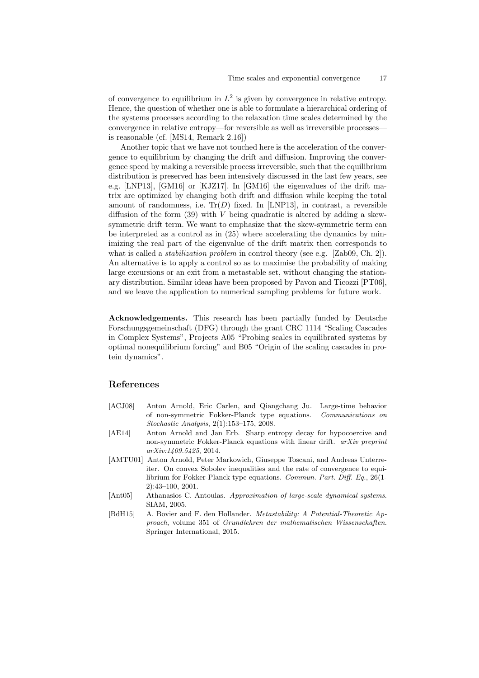of convergence to equilibrium in  $L^2$  is given by convergence in relative entropy. Hence, the question of whether one is able to formulate a hierarchical ordering of the systems processes according to the relaxation time scales determined by the convergence in relative entropy—for reversible as well as irreversible processes is reasonable (cf. [MS14, Remark 2.16])

Another topic that we have not touched here is the acceleration of the convergence to equilibrium by changing the drift and diffusion. Improving the convergence speed by making a reversible process irreversible, such that the equilibrium distribution is preserved has been intensively discussed in the last few years, see e.g. [LNP13], [GM16] or [KJZ17]. In [GM16] the eigenvalues of the drift matrix are optimized by changing both drift and diffusion while keeping the total amount of randomness, i.e.  $Tr(D)$  fixed. In [LNP13], in contrast, a reversible diffusion of the form  $(39)$  with V being quadratic is altered by adding a skewsymmetric drift term. We want to emphasize that the skew-symmetric term can be interpreted as a control as in (25) where accelerating the dynamics by minimizing the real part of the eigenvalue of the drift matrix then corresponds to what is called a *stabilization problem* in control theory (see e.g. [Zab09, Ch. 2]). An alternative is to apply a control so as to maximise the probability of making large excursions or an exit from a metastable set, without changing the stationary distribution. Similar ideas have been proposed by Pavon and Ticozzi [PT06], and we leave the application to numerical sampling problems for future work.

Acknowledgements. This research has been partially funded by Deutsche Forschungsgemeinschaft (DFG) through the grant CRC 1114 "Scaling Cascades in Complex Systems", Projects A05 "Probing scales in equilibrated systems by optimal nonequilibrium forcing" and B05 "Origin of the scaling cascades in protein dynamics".

# References

- [ACJ08] Anton Arnold, Eric Carlen, and Qiangchang Ju. Large-time behavior of non-symmetric Fokker-Planck type equations. Communications on Stochastic Analysis, 2(1):153–175, 2008.
- [AE14] Anton Arnold and Jan Erb. Sharp entropy decay for hypocoercive and non-symmetric Fokker-Planck equations with linear drift. arXiv preprint arXiv:1409.5425, 2014.
- [AMTU01] Anton Arnold, Peter Markowich, Giuseppe Toscani, and Andreas Unterreiter. On convex Sobolev inequalities and the rate of convergence to equilibrium for Fokker-Planck type equations. Commun. Part. Diff. Eq., 26(1- 2):43–100, 2001.
- [Ant05] Athanasios C. Antoulas. Approximation of large-scale dynamical systems. SIAM, 2005.
- [BdH15] A. Bovier and F. den Hollander. Metastability: A Potential-Theoretic Approach, volume 351 of Grundlehren der mathematischen Wissenschaften. Springer International, 2015.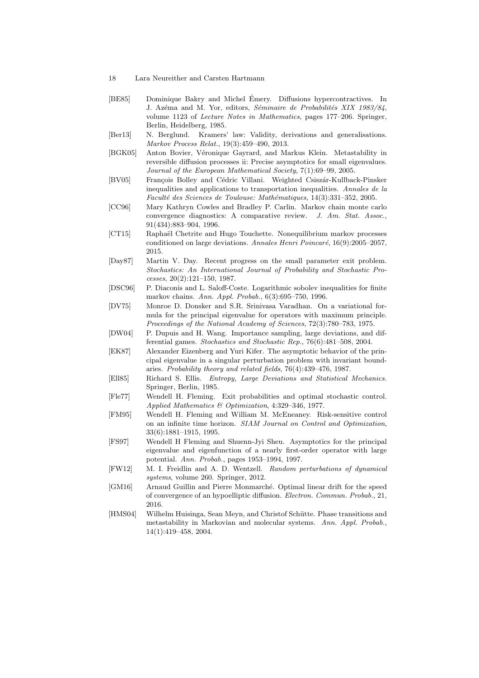- 18 Lara Neureither and Carsten Hartmann
- [BE85] Dominique Bakry and Michel Emery. Diffusions hypercontractives. In ´ J. Azéma and M. Yor, editors, Séminaire de Probabilités XIX 1983/84, volume 1123 of Lecture Notes in Mathematics, pages 177–206. Springer, Berlin, Heidelberg, 1985.
- [Ber13] N. Berglund. Kramers' law: Validity, derivations and generalisations. Markov Process Relat., 19(3):459–490, 2013.
- [BGK05] Anton Bovier, Véronique Gayrard, and Markus Klein. Metastability in reversible diffusion processes ii: Precise asymptotics for small eigenvalues. Journal of the European Mathematical Society, 7(1):69–99, 2005.
- [BV05] François Bolley and Cédric Villani. Weighted Csiszár-Kullback-Pinsker inequalities and applications to transportation inequalities. Annales de la Faculté des Sciences de Toulouse: Mathématiques, 14(3):331-352, 2005.
- [CC96] Mary Kathryn Cowles and Bradley P. Carlin. Markov chain monte carlo convergence diagnostics: A comparative review. J. Am. Stat. Assoc., 91(434):883–904, 1996.
- [CT15] Raphaël Chetrite and Hugo Touchette. Nonequilibrium markov processes conditioned on large deviations. Annales Henri Poincaré,  $16(9):2005-2057$ , 2015.
- [Day87] Martin V. Day. Recent progress on the small parameter exit problem. Stochastics: An International Journal of Probability and Stochastic Processes, 20(2):121–150, 1987.
- [DSC96] P. Diaconis and L. Saloff-Coste. Logarithmic sobolev inequalities for finite markov chains. Ann. Appl. Probab., 6(3):695–750, 1996.
- [DV75] Monroe D. Donsker and S.R. Srinivasa Varadhan. On a variational formula for the principal eigenvalue for operators with maximum principle. Proceedings of the National Academy of Sciences, 72(3):780–783, 1975.
- [DW04] P. Dupuis and H. Wang. Importance sampling, large deviations, and differential games. Stochastics and Stochastic Rep., 76(6):481–508, 2004.
- [EK87] Alexander Eizenberg and Yuri Kifer. The asymptotic behavior of the principal eigenvalue in a singular perturbation problem with invariant boundaries. Probability theory and related fields, 76(4):439–476, 1987.
- [Ell85] Richard S. Ellis. Entropy, Large Deviations and Statistical Mechanics. Springer, Berlin, 1985.
- [Fle77] Wendell H. Fleming. Exit probabilities and optimal stochastic control. Applied Mathematics & Optimization, 4:329–346, 1977.
- [FM95] Wendell H. Fleming and William M. McEneaney. Risk-sensitive control on an infinite time horizon. SIAM Journal on Control and Optimization, 33(6):1881–1915, 1995.
- [FS97] Wendell H Fleming and Shuenn-Jyi Sheu. Asymptotics for the principal eigenvalue and eigenfunction of a nearly first-order operator with large potential. Ann. Probab., pages 1953–1994, 1997.
- [FW12] M. I. Freidlin and A. D. Wentzell. Random perturbations of dynamical systems, volume 260. Springer, 2012.
- [GM16] Arnaud Guillin and Pierre Monmarché. Optimal linear drift for the speed of convergence of an hypoelliptic diffusion. Electron. Commun. Probab., 21, 2016.
- [HMS04] Wilhelm Huisinga, Sean Meyn, and Christof Schütte. Phase transitions and metastability in Markovian and molecular systems. Ann. Appl. Probab., 14(1):419–458, 2004.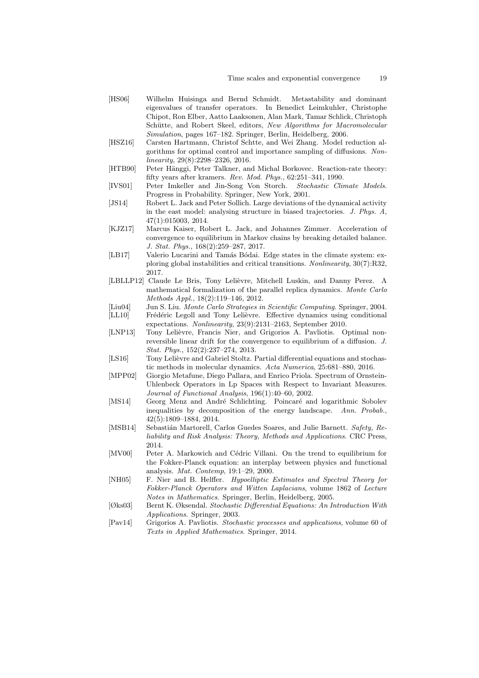- [HS06] Wilhelm Huisinga and Bernd Schmidt. Metastability and dominant eigenvalues of transfer operators. In Benedict Leimkuhler, Christophe Chipot, Ron Elber, Aatto Laaksonen, Alan Mark, Tamar Schlick, Christoph Schütte, and Robert Skeel, editors, New Algorithms for Macromolecular Simulation, pages 167–182. Springer, Berlin, Heidelberg, 2006.
- [HSZ16] Carsten Hartmann, Christof Schtte, and Wei Zhang. Model reduction algorithms for optimal control and importance sampling of diffusions. Nonlinearity, 29(8):2298–2326, 2016.
- [HTB90] Peter Hänggi, Peter Talkner, and Michal Borkovec. Reaction-rate theory: fifty years after kramers. Rev. Mod. Phys., 62:251–341, 1990.
- [IVS01] Peter Imkeller and Jin-Song Von Storch. Stochastic Climate Models. Progress in Probability. Springer, New York, 2001.
- [JS14] Robert L. Jack and Peter Sollich. Large deviations of the dynamical activity in the east model: analysing structure in biased trajectories. J. Phys. A, 47(1):015003, 2014.
- [KJZ17] Marcus Kaiser, Robert L. Jack, and Johannes Zimmer. Acceleration of convergence to equilibrium in Markov chains by breaking detailed balance. J. Stat. Phys., 168(2):259–287, 2017.
- [LB17] Valerio Lucarini and Tamás Bódai. Edge states in the climate system: exploring global instabilities and critical transitions. Nonlinearity, 30(7):R32, 2017.
- [LBLLP12] Claude Le Bris, Tony Lelièvre, Mitchell Luskin, and Danny Perez. A mathematical formalization of the parallel replica dynamics. Monte Carlo Methods Appl., 18(2):119–146, 2012.
- [Liu04] Jun S. Liu. *Monte Carlo Strategies in Scientific Computing*. Springer, 2004.<br>[LL10] Frédéric Legoll and Tony Lelièvre. Effective dynamics using conditional
- Frédéric Legoll and Tony Lelièvre. Effective dynamics using conditional expectations. Nonlinearity, 23(9):2131–2163, September 2010.
- [LNP13] Tony Lelièvre, Francis Nier, and Grigorios A. Pavliotis. Optimal nonreversible linear drift for the convergence to equilibrium of a diffusion. J. Stat. Phys., 152(2):237–274, 2013.
- [LS16] Tony Lelièvre and Gabriel Stoltz. Partial differential equations and stochastic methods in molecular dynamics. Acta Numerica, 25:681–880, 2016.
- [MPP02] Giorgio Metafune, Diego Pallara, and Enrico Priola. Spectrum of Ornstein-Uhlenbeck Operators in Lp Spaces with Respect to Invariant Measures. Journal of Functional Analysis, 196(1):40–60, 2002.
- [MS14] Georg Menz and André Schlichting. Poincaré and logarithmic Sobolev inequalities by decomposition of the energy landscape. Ann. Probab., 42(5):1809–1884, 2014.
- [MSB14] Sebastián Martorell, Carlos Guedes Soares, and Julie Barnett. Safety, Reliability and Risk Analysis: Theory, Methods and Applications. CRC Press, 2014.
- [MV00] Peter A. Markowich and Cédric Villani. On the trend to equilibrium for the Fokker-Planck equation: an interplay between physics and functional analysis. Mat. Contemp, 19:1–29, 2000.
- [NH05] F. Nier and B. Helffer. Hypoelliptic Estimates and Spectral Theory for Fokker-Planck Operators and Witten Laplacians, volume 1862 of Lecture Notes in Mathematics. Springer, Berlin, Heidelberg, 2005.
- [Øks03] Bernt K. Øksendal. Stochastic Differential Equations: An Introduction With Applications. Springer, 2003.
- [Pav14] Grigorios A. Pavliotis. Stochastic processes and applications, volume 60 of Texts in Applied Mathematics. Springer, 2014.